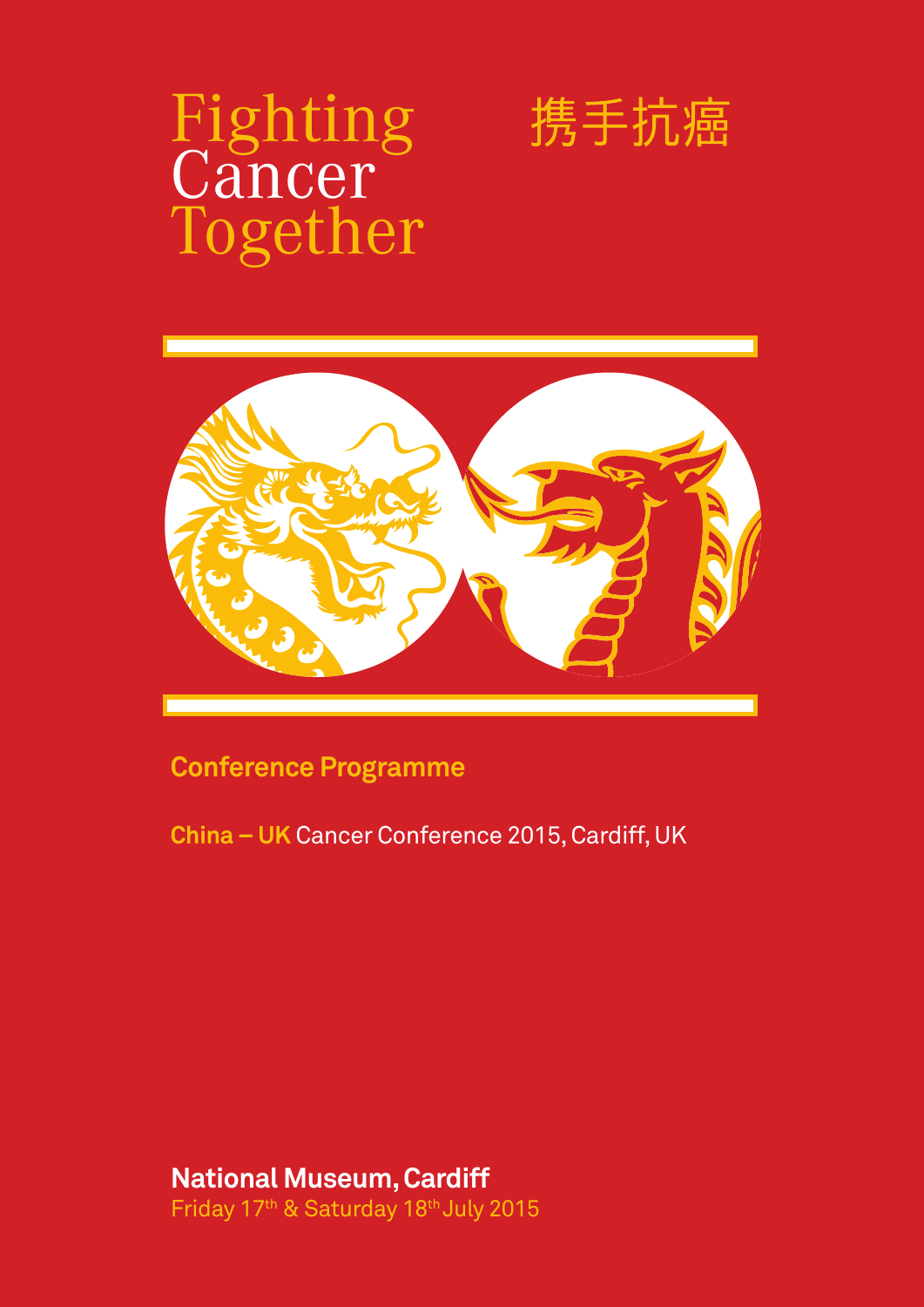# Fighting Cancer<sup>®</sup> Together





**Conference Programme**

**China – UK** Cancer Conference 2015, Cardiff, UK

**National Museum, Cardiff**  Friday 17<sup>th</sup> & Saturday 18<sup>th</sup> July 2015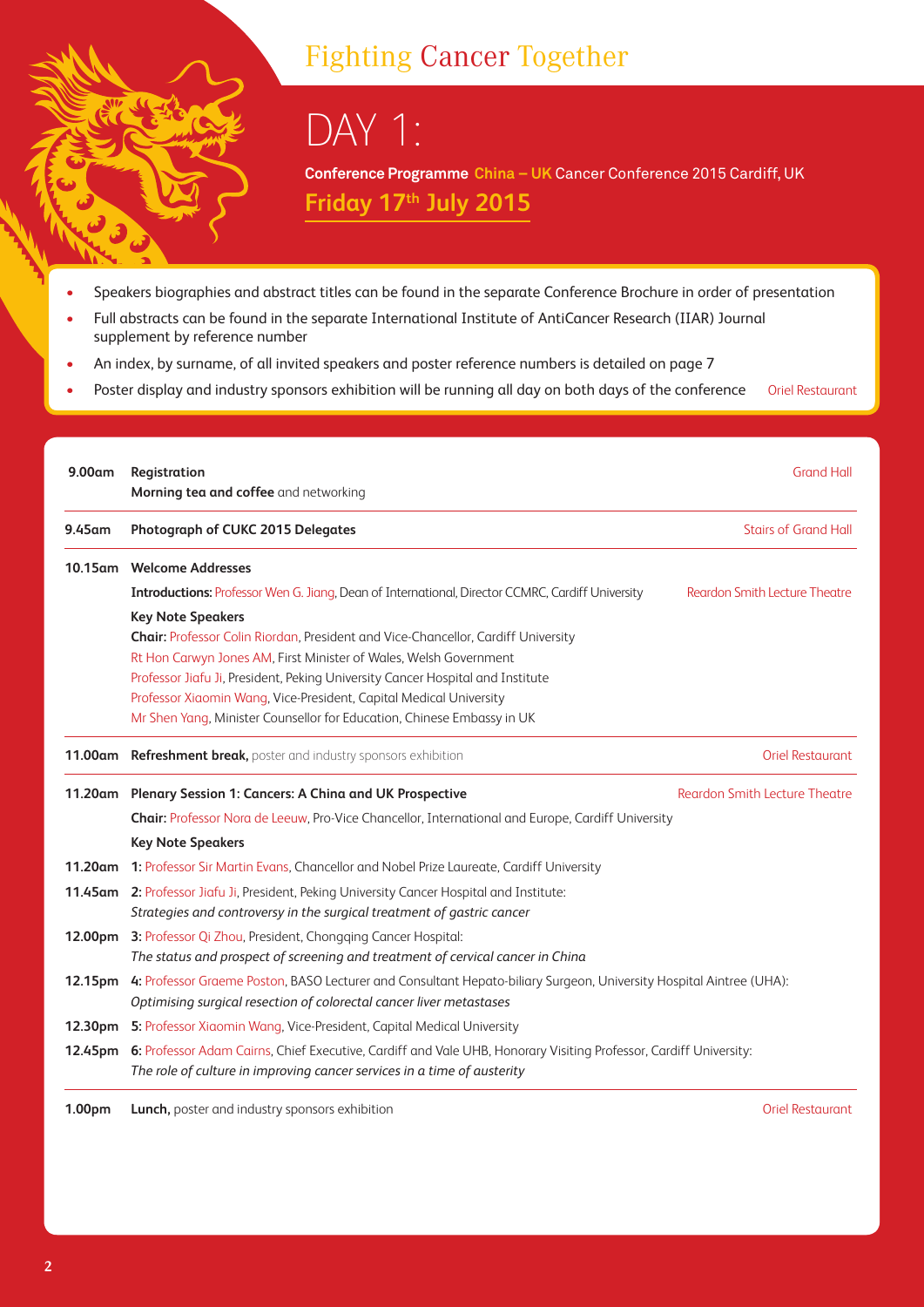### Fighting Cancer Together

DAY 1:

**Conference Programme China – UK** Cancer Conference 2015 Cardiff, UK **Friday 17th July 2015** 

- Speakers biographies and abstract titles can be found in the separate Conference Brochure in order of presentation
- Full abstracts can be found in the separate International Institute of AntiCancer Research (IIAR) Journal supplement by reference number
- An index, by surname, of all invited speakers and poster reference numbers is detailed on page 7
- Poster display and industry sponsors exhibition will be running all day on both days of the conference Oriel Restaurant

| 9.00 <sub>am</sub>  | Registration<br>Morning tea and coffee and networking                                                                     | <b>Grand Hall</b>                    |  |
|---------------------|---------------------------------------------------------------------------------------------------------------------------|--------------------------------------|--|
| 9.45am              | Photograph of CUKC 2015 Delegates                                                                                         | <b>Stairs of Grand Hall</b>          |  |
|                     | 10.15am Welcome Addresses                                                                                                 |                                      |  |
|                     | <b>Introductions:</b> Professor Wen G. Jiang, Dean of International, Director CCMRC, Cardiff University                   | Reardon Smith Lecture Theatre        |  |
|                     | <b>Key Note Speakers</b>                                                                                                  |                                      |  |
|                     | Chair: Professor Colin Riordan, President and Vice-Chancellor, Cardiff University                                         |                                      |  |
|                     | Rt Hon Carwyn Jones AM, First Minister of Wales, Welsh Government                                                         |                                      |  |
|                     | Professor Jiafu Ji, President, Peking University Cancer Hospital and Institute                                            |                                      |  |
|                     | Professor Xiaomin Wang, Vice-President, Capital Medical University                                                        |                                      |  |
|                     | Mr Shen Yang, Minister Counsellor for Education, Chinese Embassy in UK                                                    |                                      |  |
|                     | 11.00am Refreshment break, poster and industry sponsors exhibition<br><b>Oriel Restaurant</b>                             |                                      |  |
|                     | 11.20am Plenary Session 1: Cancers: A China and UK Prospective                                                            | <b>Reardon Smith Lecture Theatre</b> |  |
|                     | Chair: Professor Nora de Leeuw, Pro-Vice Chancellor, International and Europe, Cardiff University                         |                                      |  |
|                     | <b>Key Note Speakers</b>                                                                                                  |                                      |  |
|                     | 11.20am 1: Professor Sir Martin Evans, Chancellor and Nobel Prize Laureate, Cardiff University                            |                                      |  |
|                     | 11.45am 2: Professor Jiafu Ji, President, Peking University Cancer Hospital and Institute:                                |                                      |  |
|                     | Strategies and controversy in the surgical treatment of gastric cancer                                                    |                                      |  |
| 12.00pm             | 3: Professor Qi Zhou, President, Chongqing Cancer Hospital:                                                               |                                      |  |
|                     | The status and prospect of screening and treatment of cervical cancer in China                                            |                                      |  |
| 12.15 <sub>pm</sub> | 4: Professor Graeme Poston, BASO Lecturer and Consultant Hepato-biliary Surgeon, University Hospital Aintree (UHA):       |                                      |  |
|                     | Optimising surgical resection of colorectal cancer liver metastases                                                       |                                      |  |
|                     | 12.30pm 5: Professor Xiaomin Wang, Vice-President, Capital Medical University                                             |                                      |  |
|                     | 12.45pm 6: Professor Adam Cairns, Chief Executive, Cardiff and Vale UHB, Honorary Visiting Professor, Cardiff University: |                                      |  |
|                     | The role of culture in improving cancer services in a time of austerity                                                   |                                      |  |

**1.00pm Lunch,** poster and industry sponsors exhibition **Community Community Community Community Community Community Community Community Community Community Community Community Community Community Community Community Commu**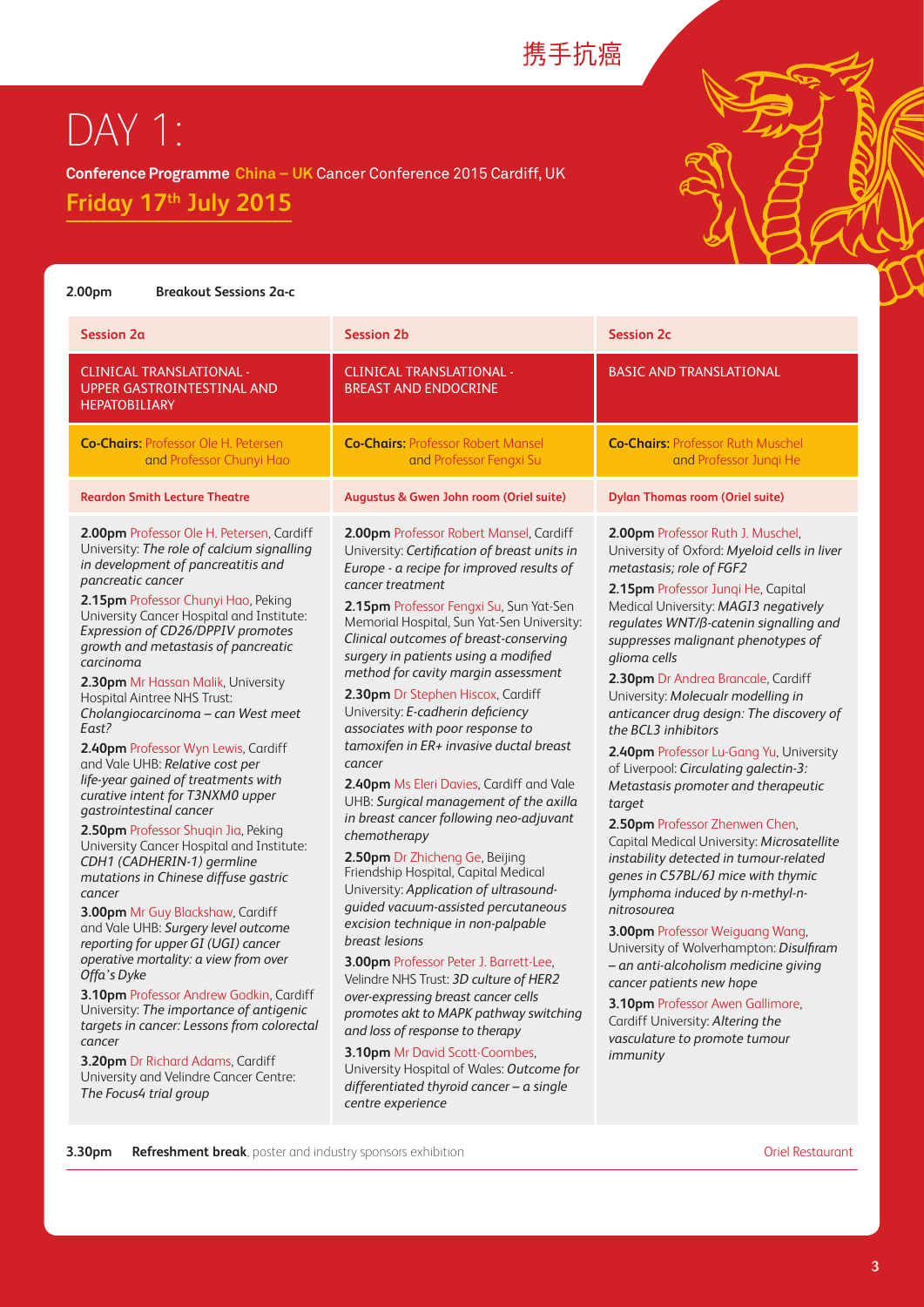### 携手抗癌

## DAY 1:

**Conference Programme China – UK** Cancer Conference 2015 Cardiff, UK

**Friday 17th July 2015** 

## **2.00pm Breakout Sessions 2a-c**

| Session 2a                                                                                                                                                                                                                                                                                                                                                                                                                                                                                                                                                                                                                                                                                                                                                                                                                                                                                                                                                                                                                                                                                                                                                                                                                                     | <b>Session 2b</b>                                                                                                                                                                                                                                                                                                                                                                                                                                                                                                                                                                                                                                                                                                                                                                                                                                                                                                                                                                                                                                                                                                                                                                                                                                                         | <b>Session 2c</b>                                                                                                                                                                                                                                                                                                                                                                                                                                                                                                                                                                                                                                                                                                                                                                                                                                                                                                                                                                                                                                                        |
|------------------------------------------------------------------------------------------------------------------------------------------------------------------------------------------------------------------------------------------------------------------------------------------------------------------------------------------------------------------------------------------------------------------------------------------------------------------------------------------------------------------------------------------------------------------------------------------------------------------------------------------------------------------------------------------------------------------------------------------------------------------------------------------------------------------------------------------------------------------------------------------------------------------------------------------------------------------------------------------------------------------------------------------------------------------------------------------------------------------------------------------------------------------------------------------------------------------------------------------------|---------------------------------------------------------------------------------------------------------------------------------------------------------------------------------------------------------------------------------------------------------------------------------------------------------------------------------------------------------------------------------------------------------------------------------------------------------------------------------------------------------------------------------------------------------------------------------------------------------------------------------------------------------------------------------------------------------------------------------------------------------------------------------------------------------------------------------------------------------------------------------------------------------------------------------------------------------------------------------------------------------------------------------------------------------------------------------------------------------------------------------------------------------------------------------------------------------------------------------------------------------------------------|--------------------------------------------------------------------------------------------------------------------------------------------------------------------------------------------------------------------------------------------------------------------------------------------------------------------------------------------------------------------------------------------------------------------------------------------------------------------------------------------------------------------------------------------------------------------------------------------------------------------------------------------------------------------------------------------------------------------------------------------------------------------------------------------------------------------------------------------------------------------------------------------------------------------------------------------------------------------------------------------------------------------------------------------------------------------------|
| <b>CLINICAL TRANSLATIONAL -</b><br><b>UPPER GASTROINTESTINAL AND</b><br><b>HEPATOBILIARY</b>                                                                                                                                                                                                                                                                                                                                                                                                                                                                                                                                                                                                                                                                                                                                                                                                                                                                                                                                                                                                                                                                                                                                                   | <b>CLINICAL TRANSLATIONAL -</b><br><b>BREAST AND ENDOCRINE</b>                                                                                                                                                                                                                                                                                                                                                                                                                                                                                                                                                                                                                                                                                                                                                                                                                                                                                                                                                                                                                                                                                                                                                                                                            | <b>BASIC AND TRANSLATIONAL</b>                                                                                                                                                                                                                                                                                                                                                                                                                                                                                                                                                                                                                                                                                                                                                                                                                                                                                                                                                                                                                                           |
| <b>Co-Chairs: Professor Ole H. Petersen</b><br>and Professor Chunyi Hao                                                                                                                                                                                                                                                                                                                                                                                                                                                                                                                                                                                                                                                                                                                                                                                                                                                                                                                                                                                                                                                                                                                                                                        | <b>Co-Chairs: Professor Robert Mansel</b><br>and Professor Fengxi Su                                                                                                                                                                                                                                                                                                                                                                                                                                                                                                                                                                                                                                                                                                                                                                                                                                                                                                                                                                                                                                                                                                                                                                                                      | <b>Co-Chairs: Professor Ruth Muschel</b><br>and Professor Jungi He                                                                                                                                                                                                                                                                                                                                                                                                                                                                                                                                                                                                                                                                                                                                                                                                                                                                                                                                                                                                       |
| <b>Reardon Smith Lecture Theatre</b>                                                                                                                                                                                                                                                                                                                                                                                                                                                                                                                                                                                                                                                                                                                                                                                                                                                                                                                                                                                                                                                                                                                                                                                                           | Augustus & Gwen John room (Oriel suite)                                                                                                                                                                                                                                                                                                                                                                                                                                                                                                                                                                                                                                                                                                                                                                                                                                                                                                                                                                                                                                                                                                                                                                                                                                   | <b>Dylan Thomas room (Oriel suite)</b>                                                                                                                                                                                                                                                                                                                                                                                                                                                                                                                                                                                                                                                                                                                                                                                                                                                                                                                                                                                                                                   |
| 2.00pm Professor Ole H. Petersen, Cardiff<br>University: The role of calcium signalling<br>in development of pancreatitis and<br>pancreatic cancer<br>2.15pm Professor Chunyi Hao, Peking<br>University Cancer Hospital and Institute:<br>Expression of CD26/DPPIV promotes<br>growth and metastasis of pancreatic<br>carcinoma<br>2.30pm Mr Hassan Malik, University<br><b>Hospital Aintree NHS Trust:</b><br>Cholangiocarcinoma - can West meet<br>East?<br>2.40pm Professor Wyn Lewis, Cardiff<br>and Vale UHB: Relative cost per<br>life-year gained of treatments with<br>curative intent for T3NXM0 upper<br>qastrointestinal cancer<br>2.50pm Professor Shugin Jia, Peking<br>University Cancer Hospital and Institute:<br>CDH1 (CADHERIN-1) germline<br>mutations in Chinese diffuse gastric<br>cancer<br>3.00pm Mr Guy Blackshaw, Cardiff<br>and Vale UHB: Surgery level outcome<br>reporting for upper GI (UGI) cancer<br>operative mortality: a view from over<br>Offa's Dyke<br>3.10pm Professor Andrew Godkin, Cardiff<br>University: The importance of antigenic<br>targets in cancer: Lessons from colorectal<br>cancer<br>3.20pm Dr Richard Adams, Cardiff<br>University and Velindre Cancer Centre:<br>The Focus4 trial group | 2.00pm Professor Robert Mansel, Cardiff<br>University: Certification of breast units in<br>Europe - a recipe for improved results of<br>cancer treatment<br>2.15pm Professor Fengxi Su, Sun Yat-Sen<br>Memorial Hospital, Sun Yat-Sen University:<br>Clinical outcomes of breast-conserving<br>surgery in patients using a modified<br>method for cavity margin assessment<br>2.30pm Dr Stephen Hiscox, Cardiff<br>University: E-cadherin deficiency<br>associates with poor response to<br>tamoxifen in ER+ invasive ductal breast<br>cancer<br>2.40pm Ms Eleri Davies, Cardiff and Vale<br>UHB: Surgical management of the axilla<br>in breast cancer following neo-adjuvant<br>chemotherapy<br>2.50pm Dr Zhicheng Ge, Beijing<br>Friendship Hospital, Capital Medical<br>University: Application of ultrasound-<br>guided vacuum-assisted percutaneous<br>excision technique in non-palpable<br>breast lesions<br>3.00pm Professor Peter J. Barrett-Lee,<br>Velindre NHS Trust: 3D culture of HER2<br>over-expressing breast cancer cells<br>promotes akt to MAPK pathway switching<br>and loss of response to therapy<br>3.10pm Mr David Scott-Coombes,<br>University Hospital of Wales: Outcome for<br>differentiated thyroid cancer - a single<br>centre experience | 2.00pm Professor Ruth J. Muschel,<br>University of Oxford: Myeloid cells in liver<br>metastasis; role of FGF2<br>2.15pm Professor Junqi He, Capital<br>Medical University: MAGI3 negatively<br>regulates WNT/ß-catenin signalling and<br>suppresses malignant phenotypes of<br>glioma cells<br>2.30pm Dr Andrea Brancale, Cardiff<br>University: Molecualr modelling in<br>anticancer drug design: The discovery of<br>the BCL3 inhibitors<br>2.40pm Professor Lu-Gang Yu, University<br>of Liverpool: Circulating galectin-3:<br>Metastasis promoter and therapeutic<br>target<br>2.50pm Professor Zhenwen Chen,<br>Capital Medical University: Microsatellite<br>instability detected in tumour-related<br>genes in C57BL/6J mice with thymic<br>lymphoma induced by n-methyl-n-<br>nitrosourea<br>3.00pm Professor Weiguang Wang,<br>University of Wolverhampton: Disulfiram<br>- an anti-alcoholism medicine giving<br>cancer patients new hope<br>3.10pm Professor Awen Gallimore,<br>Cardiff University: Altering the<br>vasculature to promote tumour<br>immunity |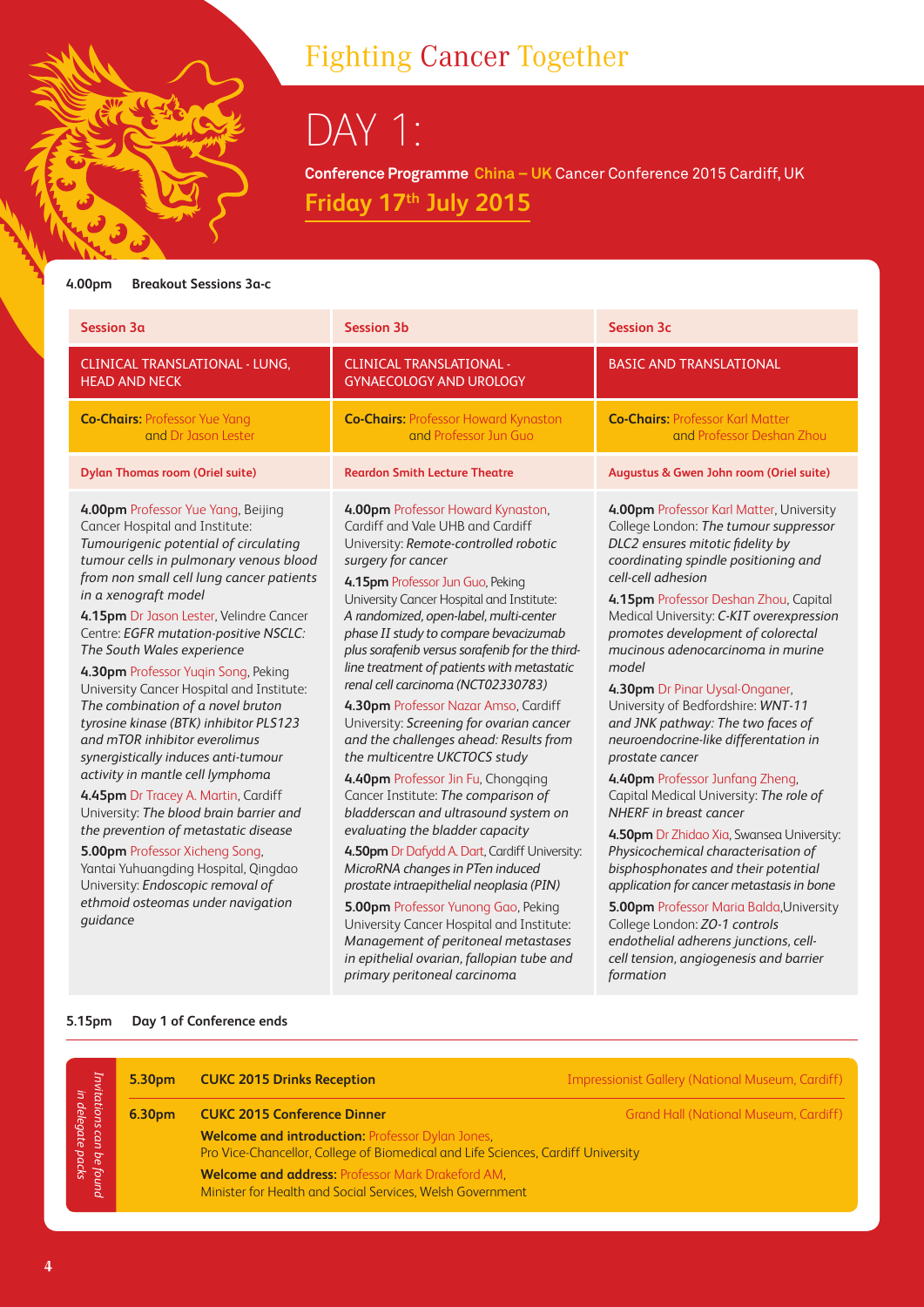## Fighting Cancer Together

DAY 1:

**Conference Programme China – UK** Cancer Conference 2015 Cardiff, UK **Friday 17th July 2015** 

#### **4.00pm Breakout Sessions 3a-c**

| <b>BASIC AND TRANSLATIONAL</b><br>CLINICAL TRANSLATIONAL - LUNG,<br><b>CLINICAL TRANSLATIONAL -</b><br><b>GYNAECOLOGY AND UROLOGY</b><br><b>HEAD AND NECK</b><br><b>Co-Chairs: Professor Karl Matter</b><br><b>Co-Chairs: Professor Yue Yang</b><br><b>Co-Chairs: Professor Howard Kynaston</b><br>and Dr Jason Lester<br>and Professor Jun Guo<br>and Professor Deshan Zhou<br><b>Dylan Thomas room (Oriel suite)</b><br><b>Reardon Smith Lecture Theatre</b><br>Augustus & Gwen John room (Oriel suite)<br>4.00pm Professor Howard Kynaston,<br>4.00pm Professor Yue Yang, Beijing<br>Cardiff and Vale UHB and Cardiff<br>Cancer Hospital and Institute:<br>DLC2 ensures mitotic fidelity by<br>Tumourigenic potential of circulating<br>University: Remote-controlled robotic<br>tumour cells in pulmonary venous blood<br>coordinating spindle positioning and<br>surgery for cancer<br>from non small cell lung cancer patients<br>cell-cell adhesion<br>4.15pm Professor Jun Guo, Peking<br>in a xenograft model<br>University Cancer Hospital and Institute:<br>4.15pm Professor Deshan Zhou, Capital<br>A randomized, open-label, multi-center<br>4.15pm Dr Jason Lester, Velindre Cancer<br>phase II study to compare bevacizumab<br>promotes development of colorectal<br>Centre: EGFR mutation-positive NSCLC:<br>plus sorafenib versus sorafenib for the third-<br>mucinous adenocarcinoma in murine<br>The South Wales experience<br>line treatment of patients with metastatic<br>model<br>4.30pm Professor Yugin Song, Peking<br>renal cell carcinoma (NCT02330783)<br>University Cancer Hospital and Institute:<br>4.30pm Dr Pinar Uysal-Onganer,<br>University of Bedfordshire: WNT-11<br>The combination of a novel bruton<br>4.30pm Professor Nazar Amso, Cardiff<br>and JNK pathway: The two faces of<br>tyrosine kinase (BTK) inhibitor PLS123<br>University: Screening for ovarian cancer<br>and mTOR inhibitor everolimus<br>and the challenges ahead: Results from<br>neuroendocrine-like differentation in<br>synergistically induces anti-tumour<br>the multicentre UKCTOCS study<br>prostate cancer<br>activity in mantle cell lymphoma<br>4.40pm Professor Jin Fu, Chongqing<br>4.40pm Professor Junfang Zheng, | Session 3a                          | <b>Session 3b</b>                   | <b>Session 3c</b>                                                                                                                                                                                                                                                                                              |
|---------------------------------------------------------------------------------------------------------------------------------------------------------------------------------------------------------------------------------------------------------------------------------------------------------------------------------------------------------------------------------------------------------------------------------------------------------------------------------------------------------------------------------------------------------------------------------------------------------------------------------------------------------------------------------------------------------------------------------------------------------------------------------------------------------------------------------------------------------------------------------------------------------------------------------------------------------------------------------------------------------------------------------------------------------------------------------------------------------------------------------------------------------------------------------------------------------------------------------------------------------------------------------------------------------------------------------------------------------------------------------------------------------------------------------------------------------------------------------------------------------------------------------------------------------------------------------------------------------------------------------------------------------------------------------------------------------------------------------------------------------------------------------------------------------------------------------------------------------------------------------------------------------------------------------------------------------------------------------------------------------------------------------------------------------------------------------------------------------------------------------------------------------------------------------------------------------------------------------------------|-------------------------------------|-------------------------------------|----------------------------------------------------------------------------------------------------------------------------------------------------------------------------------------------------------------------------------------------------------------------------------------------------------------|
|                                                                                                                                                                                                                                                                                                                                                                                                                                                                                                                                                                                                                                                                                                                                                                                                                                                                                                                                                                                                                                                                                                                                                                                                                                                                                                                                                                                                                                                                                                                                                                                                                                                                                                                                                                                                                                                                                                                                                                                                                                                                                                                                                                                                                                             |                                     |                                     |                                                                                                                                                                                                                                                                                                                |
|                                                                                                                                                                                                                                                                                                                                                                                                                                                                                                                                                                                                                                                                                                                                                                                                                                                                                                                                                                                                                                                                                                                                                                                                                                                                                                                                                                                                                                                                                                                                                                                                                                                                                                                                                                                                                                                                                                                                                                                                                                                                                                                                                                                                                                             |                                     |                                     |                                                                                                                                                                                                                                                                                                                |
|                                                                                                                                                                                                                                                                                                                                                                                                                                                                                                                                                                                                                                                                                                                                                                                                                                                                                                                                                                                                                                                                                                                                                                                                                                                                                                                                                                                                                                                                                                                                                                                                                                                                                                                                                                                                                                                                                                                                                                                                                                                                                                                                                                                                                                             |                                     |                                     |                                                                                                                                                                                                                                                                                                                |
| bladderscan and ultrasound system on<br>NHERF in breast cancer<br>University: The blood brain barrier and<br>the prevention of metastatic disease<br>evaluating the bladder capacity<br>Physicochemical characterisation of<br><b>5.00pm</b> Professor Xicheng Song,<br>4.50pm Dr Dafydd A. Dart, Cardiff University:<br>bisphosphonates and their potential<br>Yantai Yuhuangding Hospital, Qingdao<br>MicroRNA changes in PTen induced<br>University: Endoscopic removal of<br>prostate intraepithelial neoplasia (PIN)<br>ethmoid osteomas under navigation<br>5.00pm Professor Yunong Gao, Peking<br>quidance<br>University Cancer Hospital and Institute:<br>College London: ZO-1 controls<br>Management of peritoneal metastases<br>endothelial adherens junctions, cell-<br>in epithelial ovarian, fallopian tube and<br>cell tension, angiogenesis and barrier<br>primary peritoneal carcinoma<br>formation                                                                                                                                                                                                                                                                                                                                                                                                                                                                                                                                                                                                                                                                                                                                                                                                                                                                                                                                                                                                                                                                                                                                                                                                                                                                                                                         | 4.45pm Dr Tracey A. Martin, Cardiff | Cancer Institute: The comparison of | 4.00pm Professor Karl Matter, University<br>College London: The tumour suppressor<br>Medical University: C-KIT overexpression<br>Capital Medical University: The role of<br>4.50pm Dr Zhidao Xia, Swansea University:<br>application for cancer metastasis in bone<br>5.00pm Professor Maria Balda, University |

|                                                                  | 5.30pm             | <b>CUKC 2015 Drinks Reception</b>                                                                                                           | <b>Impressionist Gallery (National Museum, Cardiff)</b> |
|------------------------------------------------------------------|--------------------|---------------------------------------------------------------------------------------------------------------------------------------------|---------------------------------------------------------|
| Invitations can<br>in delegate <sub>l</sub><br>be found<br>packs | 6.30 <sub>pm</sub> | <b>CUKC 2015 Conference Dinner</b>                                                                                                          | Grand Hall (National Museum, Cardiff)                   |
|                                                                  |                    | <b>Welcome and introduction: Professor Dylan Jones,</b><br>Pro Vice-Chancellor, College of Biomedical and Life Sciences, Cardiff University |                                                         |
|                                                                  |                    | <b>Welcome and address: Professor Mark Drakeford AM.</b><br>Minister for Health and Social Services, Welsh Government                       |                                                         |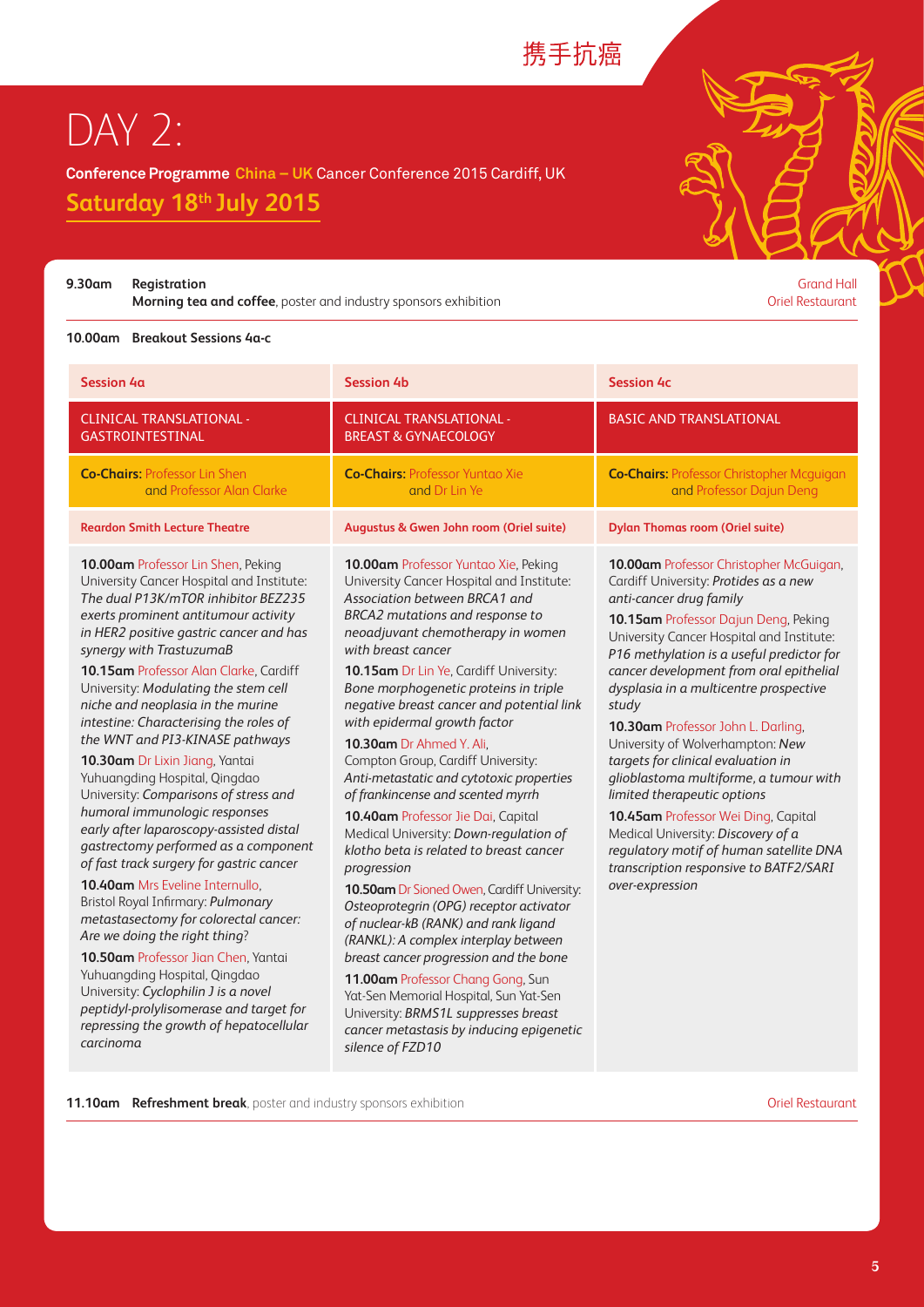### 携手抗癌

## DAY 2:

**Conference Programme China – UK** Cancer Conference 2015 Cardiff, UK

**Saturday 18th July 2015** 

**9.30am Registration** Grand Hall

**Morning tea and coffee**, poster and industry sponsors exhibition **Constanting tea and coffee**, poster and industry sponsors exhibition

#### **10.00am Breakout Sessions 4a-c**

| <b>Session 4a</b>                                                                                                                                                                                                                                                                                                                                                                                                                                                                                                                                                                                                                                                                                                                                                                                                                                                                                                                                                                                                                                                                           | <b>Session 4b</b>                                                                                                                                                                                                                                                                                                                                                                                                                                                                                                                                                                                                                                                                                                                                                                                                                                                                                                                                                                                                                                                                                      | <b>Session 4c</b>                                                                                                                                                                                                                                                                                                                                                                                                                                                                                                                                                                                                                                                                                                         |
|---------------------------------------------------------------------------------------------------------------------------------------------------------------------------------------------------------------------------------------------------------------------------------------------------------------------------------------------------------------------------------------------------------------------------------------------------------------------------------------------------------------------------------------------------------------------------------------------------------------------------------------------------------------------------------------------------------------------------------------------------------------------------------------------------------------------------------------------------------------------------------------------------------------------------------------------------------------------------------------------------------------------------------------------------------------------------------------------|--------------------------------------------------------------------------------------------------------------------------------------------------------------------------------------------------------------------------------------------------------------------------------------------------------------------------------------------------------------------------------------------------------------------------------------------------------------------------------------------------------------------------------------------------------------------------------------------------------------------------------------------------------------------------------------------------------------------------------------------------------------------------------------------------------------------------------------------------------------------------------------------------------------------------------------------------------------------------------------------------------------------------------------------------------------------------------------------------------|---------------------------------------------------------------------------------------------------------------------------------------------------------------------------------------------------------------------------------------------------------------------------------------------------------------------------------------------------------------------------------------------------------------------------------------------------------------------------------------------------------------------------------------------------------------------------------------------------------------------------------------------------------------------------------------------------------------------------|
| <b>CLINICAL TRANSLATIONAL -</b><br>GASTROINTESTINAL                                                                                                                                                                                                                                                                                                                                                                                                                                                                                                                                                                                                                                                                                                                                                                                                                                                                                                                                                                                                                                         | <b>CLINICAL TRANSLATIONAL -</b><br><b>BREAST &amp; GYNAECOLOGY</b>                                                                                                                                                                                                                                                                                                                                                                                                                                                                                                                                                                                                                                                                                                                                                                                                                                                                                                                                                                                                                                     | <b>BASIC AND TRANSLATIONAL</b>                                                                                                                                                                                                                                                                                                                                                                                                                                                                                                                                                                                                                                                                                            |
| <b>Co-Chairs: Professor Lin Shen</b><br>and Professor Alan Clarke                                                                                                                                                                                                                                                                                                                                                                                                                                                                                                                                                                                                                                                                                                                                                                                                                                                                                                                                                                                                                           | <b>Co-Chairs: Professor Yuntao Xie</b><br>and Dr Lin Ye                                                                                                                                                                                                                                                                                                                                                                                                                                                                                                                                                                                                                                                                                                                                                                                                                                                                                                                                                                                                                                                | <b>Co-Chairs: Professor Christopher Mcguigan</b><br>and Professor Dajun Deng                                                                                                                                                                                                                                                                                                                                                                                                                                                                                                                                                                                                                                              |
| <b>Reardon Smith Lecture Theatre</b>                                                                                                                                                                                                                                                                                                                                                                                                                                                                                                                                                                                                                                                                                                                                                                                                                                                                                                                                                                                                                                                        | Augustus & Gwen John room (Oriel suite)                                                                                                                                                                                                                                                                                                                                                                                                                                                                                                                                                                                                                                                                                                                                                                                                                                                                                                                                                                                                                                                                | <b>Dylan Thomas room (Oriel suite)</b>                                                                                                                                                                                                                                                                                                                                                                                                                                                                                                                                                                                                                                                                                    |
| 10.00am Professor Lin Shen, Peking<br>University Cancer Hospital and Institute:<br>The dual P13K/mTOR inhibitor BEZ235<br>exerts prominent antitumour activity<br>in HER2 positive gastric cancer and has<br>synergy with TrastuzumaB<br>10.15am Professor Alan Clarke, Cardiff<br>University: Modulating the stem cell<br>niche and neoplasia in the murine<br>intestine: Characterising the roles of<br>the WNT and PI3-KINASE pathways<br>10.30am Dr Lixin Jiang, Yantai<br>Yuhuangding Hospital, Qingdao<br>University: Comparisons of stress and<br>humoral immunologic responses<br>early after laparoscopy-assisted distal<br>gastrectomy performed as a component<br>of fast track surgery for gastric cancer<br>10.40am Mrs Eveline Internullo,<br>Bristol Royal Infirmary: Pulmonary<br>metastasectomy for colorectal cancer:<br>Are we doing the right thing?<br>10.50am Professor Jian Chen, Yantai<br>Yuhuangding Hospital, Qingdao<br>University: Cyclophilin J is a novel<br>peptidyl-prolylisomerase and target for<br>repressing the growth of hepatocellular<br>carcinoma | 10.00am Professor Yuntao Xie, Peking<br>University Cancer Hospital and Institute:<br>Association between BRCA1 and<br>BRCA2 mutations and response to<br>neoadjuvant chemotherapy in women<br>with breast cancer<br><b>10.15am Dr Lin Ye, Cardiff University:</b><br>Bone morphogenetic proteins in triple<br>negative breast cancer and potential link<br>with epidermal growth factor<br>10.30am Dr Ahmed Y. Ali,<br>Compton Group, Cardiff University:<br>Anti-metastatic and cytotoxic properties<br>of frankincense and scented myrrh<br>10.40am Professor Jie Dai, Capital<br>Medical University: Down-regulation of<br>klotho beta is related to breast cancer<br>progression<br><b>10.50am Dr Sioned Owen, Cardiff University:</b><br>Osteoprotegrin (OPG) receptor activator<br>of nuclear-kB (RANK) and rank ligand<br>(RANKL): A complex interplay between<br>breast cancer progression and the bone<br>11.00am Professor Chang Gong, Sun<br>Yat-Sen Memorial Hospital, Sun Yat-Sen<br>University: BRMS1L suppresses breast<br>cancer metastasis by inducing epigenetic<br>silence of FZD10 | 10.00am Professor Christopher McGuigan,<br>Cardiff University: Protides as a new<br>anti-cancer drug family<br>10.15am Professor Dajun Deng, Peking<br>University Cancer Hospital and Institute:<br>P16 methylation is a useful predictor for<br>cancer development from oral epithelial<br>dysplasia in a multicentre prospective<br>study<br>10.30am Professor John L. Darling,<br>University of Wolverhampton: New<br>targets for clinical evaluation in<br>glioblastoma multiforme, a tumour with<br>limited therapeutic options<br>10.45am Professor Wei Ding, Capital<br>Medical University: Discovery of a<br>regulatory motif of human satellite DNA<br>transcription responsive to BATF2/SARI<br>over-expression |

**11.10am Refreshment break**, poster and industry sponsors exhibition **Campion Communisty Communisty** Oriel Restaurant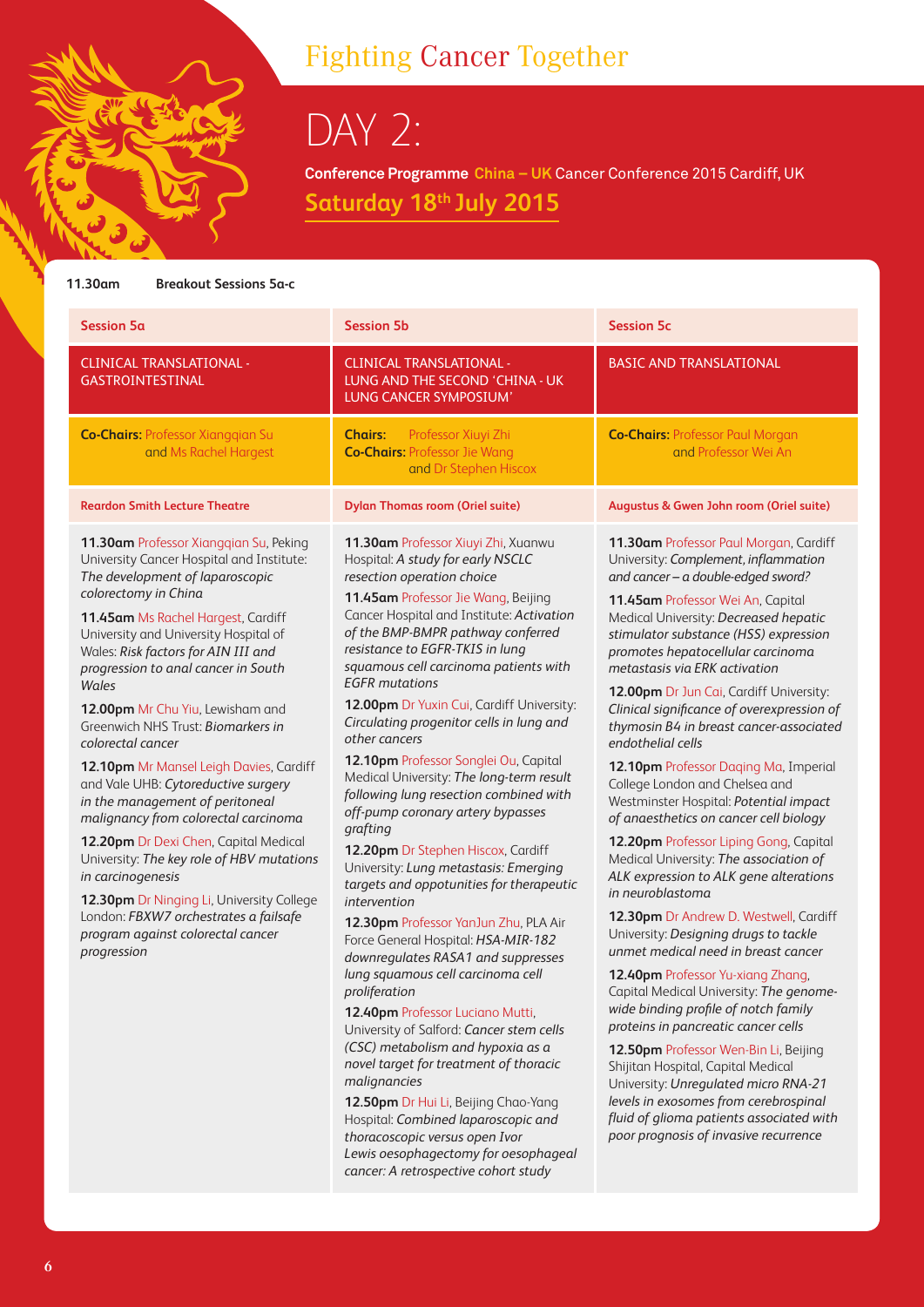## Fighting Cancer Together

DAY 2:

**Conference Programme China – UK** Cancer Conference 2015 Cardiff, UK **Saturday 18th July 2015** 

#### **11.30am Breakout Sessions 5a-c**

| <b>Session 5a</b>                                                                                                                                                                                                                                                                                                                                                                                                                                                                                                                                                                                                                                                                                                                                                                                                                     | <b>Session 5b</b>                                                                                                                                                                                                                                                                                                                                                                                                                                                                                                                                                                                                                                                                                                                                                                                                                                                                                                                                                                                                                                                                                                                                                                                                                                                                                                                     | <b>Session 5c</b>                                                                                                                                                                                                                                                                                                                                                                                                                                                                                                                                                                                                                                                                                                                                                                                                                                                                                                                                                                                                                                                                                                                                                                                                                                                                                                                         |
|---------------------------------------------------------------------------------------------------------------------------------------------------------------------------------------------------------------------------------------------------------------------------------------------------------------------------------------------------------------------------------------------------------------------------------------------------------------------------------------------------------------------------------------------------------------------------------------------------------------------------------------------------------------------------------------------------------------------------------------------------------------------------------------------------------------------------------------|---------------------------------------------------------------------------------------------------------------------------------------------------------------------------------------------------------------------------------------------------------------------------------------------------------------------------------------------------------------------------------------------------------------------------------------------------------------------------------------------------------------------------------------------------------------------------------------------------------------------------------------------------------------------------------------------------------------------------------------------------------------------------------------------------------------------------------------------------------------------------------------------------------------------------------------------------------------------------------------------------------------------------------------------------------------------------------------------------------------------------------------------------------------------------------------------------------------------------------------------------------------------------------------------------------------------------------------|-------------------------------------------------------------------------------------------------------------------------------------------------------------------------------------------------------------------------------------------------------------------------------------------------------------------------------------------------------------------------------------------------------------------------------------------------------------------------------------------------------------------------------------------------------------------------------------------------------------------------------------------------------------------------------------------------------------------------------------------------------------------------------------------------------------------------------------------------------------------------------------------------------------------------------------------------------------------------------------------------------------------------------------------------------------------------------------------------------------------------------------------------------------------------------------------------------------------------------------------------------------------------------------------------------------------------------------------|
| <b>CLINICAL TRANSLATIONAL -</b><br>GASTROINTESTINAL                                                                                                                                                                                                                                                                                                                                                                                                                                                                                                                                                                                                                                                                                                                                                                                   | <b>CLINICAL TRANSLATIONAL -</b><br>LUNG AND THE SECOND 'CHINA - UK<br>LUNG CANCER SYMPOSIUM'                                                                                                                                                                                                                                                                                                                                                                                                                                                                                                                                                                                                                                                                                                                                                                                                                                                                                                                                                                                                                                                                                                                                                                                                                                          | <b>BASIC AND TRANSLATIONAL</b>                                                                                                                                                                                                                                                                                                                                                                                                                                                                                                                                                                                                                                                                                                                                                                                                                                                                                                                                                                                                                                                                                                                                                                                                                                                                                                            |
| <b>Co-Chairs: Professor Xiangqian Su</b><br>and Ms Rachel Hargest                                                                                                                                                                                                                                                                                                                                                                                                                                                                                                                                                                                                                                                                                                                                                                     | Professor Xiuyi Zhi<br><b>Chairs:</b><br><b>Co-Chairs: Professor Jie Wang</b><br>and Dr Stephen Hiscox                                                                                                                                                                                                                                                                                                                                                                                                                                                                                                                                                                                                                                                                                                                                                                                                                                                                                                                                                                                                                                                                                                                                                                                                                                | <b>Co-Chairs: Professor Paul Morgan</b><br>and Professor Wei An                                                                                                                                                                                                                                                                                                                                                                                                                                                                                                                                                                                                                                                                                                                                                                                                                                                                                                                                                                                                                                                                                                                                                                                                                                                                           |
| <b>Reardon Smith Lecture Theatre</b>                                                                                                                                                                                                                                                                                                                                                                                                                                                                                                                                                                                                                                                                                                                                                                                                  | <b>Dylan Thomas room (Oriel suite)</b>                                                                                                                                                                                                                                                                                                                                                                                                                                                                                                                                                                                                                                                                                                                                                                                                                                                                                                                                                                                                                                                                                                                                                                                                                                                                                                | Augustus & Gwen John room (Oriel suite)                                                                                                                                                                                                                                                                                                                                                                                                                                                                                                                                                                                                                                                                                                                                                                                                                                                                                                                                                                                                                                                                                                                                                                                                                                                                                                   |
| 11.30am Professor Xiangqian Su, Peking<br>University Cancer Hospital and Institute:<br>The development of laparoscopic<br>colorectomy in China<br>11.45am Ms Rachel Hargest, Cardiff<br>University and University Hospital of<br>Wales: Risk factors for AIN III and<br>progression to anal cancer in South<br>Wales<br>12.00pm Mr Chu Yiu, Lewisham and<br>Greenwich NHS Trust: Biomarkers in<br>colorectal cancer<br>12.10pm Mr Mansel Leigh Davies, Cardiff<br>and Vale UHB: Cytoreductive surgery<br>in the management of peritoneal<br>malignancy from colorectal carcinoma<br>12.20pm Dr Dexi Chen, Capital Medical<br>University: The key role of HBV mutations<br>in carcinogenesis<br>12.30pm Dr Ninging Li, University College<br>London: FBXW7 orchestrates a failsafe<br>program against colorectal cancer<br>progression | 11.30am Professor Xiuyi Zhi, Xuanwu<br>Hospital: A study for early NSCLC<br>resection operation choice<br>11.45am Professor Jie Wang, Beijing<br>Cancer Hospital and Institute: Activation<br>of the BMP-BMPR pathway conferred<br>resistance to EGFR-TKIS in lung<br>squamous cell carcinoma patients with<br><b>EGFR</b> mutations<br>12.00pm Dr Yuxin Cui, Cardiff University:<br>Circulating progenitor cells in lung and<br>other cancers<br>12.10pm Professor Songlei Ou, Capital<br>Medical University: The long-term result<br>following lung resection combined with<br>off-pump coronary artery bypasses<br>grafting<br>12.20pm Dr Stephen Hiscox, Cardiff<br>University: Lung metastasis: Emerging<br>targets and oppotunities for therapeutic<br>intervention<br>12.30pm Professor YanJun Zhu, PLA Air<br>Force General Hospital: HSA-MIR-182<br>downregulates RASA1 and suppresses<br>lung squamous cell carcinoma cell<br>proliferation<br>12.40pm Professor Luciano Mutti,<br>University of Salford: Cancer stem cells<br>(CSC) metabolism and hypoxia as a<br>novel target for treatment of thoracic<br>malignancies<br>12.50pm Dr Hui Li, Beijing Chao-Yang<br>Hospital: Combined laparoscopic and<br>thoracoscopic versus open Ivor<br>Lewis oesophagectomy for oesophageal<br>cancer: A retrospective cohort study | 11.30am Professor Paul Morgan, Cardiff<br>University: Complement, inflammation<br>and cancer - a double-edged sword?<br>11.45am Professor Wei An, Capital<br>Medical University: Decreased hepatic<br>stimulator substance (HSS) expression<br>promotes hepatocellular carcinoma<br>metastasis via ERK activation<br>12.00pm Dr Jun Cai, Cardiff University:<br>Clinical significance of overexpression of<br>thymosin B4 in breast cancer-associated<br>endothelial cells<br>12.10pm Professor Daqing Ma, Imperial<br>College London and Chelsea and<br>Westminster Hospital: Potential impact<br>of anaesthetics on cancer cell biology<br>12.20pm Professor Liping Gong, Capital<br>Medical University: The association of<br>ALK expression to ALK gene alterations<br>in neuroblastoma<br>12.30pm Dr Andrew D. Westwell, Cardiff<br>University: Designing drugs to tackle<br>unmet medical need in breast cancer<br>12.40pm Professor Yu-xiang Zhang,<br>Capital Medical University: The genome-<br>wide binding profile of notch family<br>proteins in pancreatic cancer cells<br>12.50pm Professor Wen-Bin Li, Beijing<br>Shijitan Hospital, Capital Medical<br>University: Unregulated micro RNA-21<br>levels in exosomes from cerebrospinal<br>fluid of glioma patients associated with<br>poor prognosis of invasive recurrence |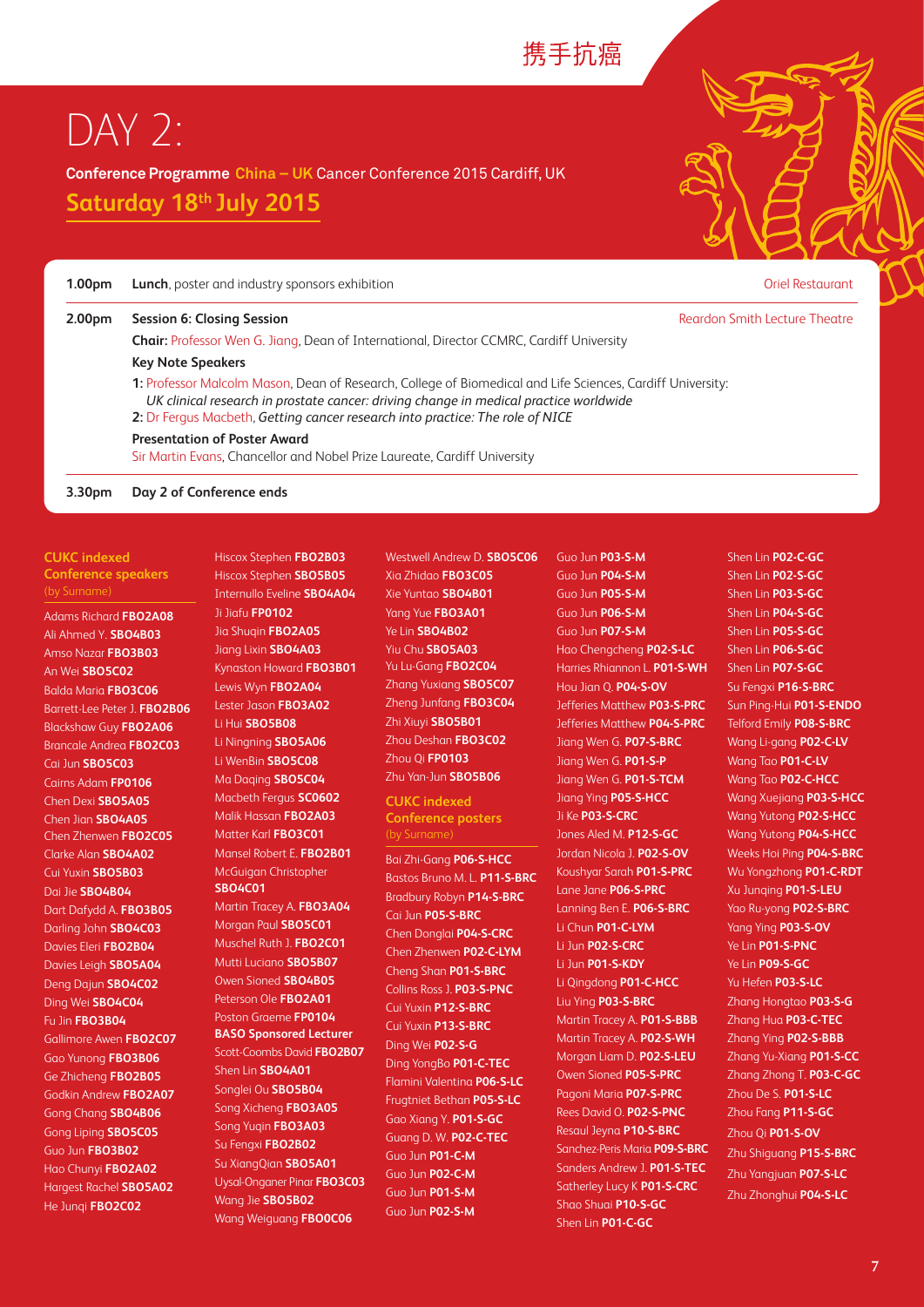#### 携手抗癌

## DAY 2:

**Conference Programme China – UK** Cancer Conference 2015 Cardiff, UK

**Saturday 18th July 2015** 

| 1.00 <sub>pm</sub> | <b>Lunch</b> , poster and industry sponsors exhibition                                                                                                                                                                                                                               | <b>Oriel Restaurant</b>       |  |
|--------------------|--------------------------------------------------------------------------------------------------------------------------------------------------------------------------------------------------------------------------------------------------------------------------------------|-------------------------------|--|
| 2.00 <sub>pm</sub> | Session 6: Closing Session                                                                                                                                                                                                                                                           | Reardon Smith Lecture Theatre |  |
|                    | <b>Chair:</b> Professor Wen G. Jiang, Dean of International, Director CCMRC, Cardiff University                                                                                                                                                                                      |                               |  |
|                    | <b>Key Note Speakers</b>                                                                                                                                                                                                                                                             |                               |  |
|                    | 1: Professor Malcolm Mason, Dean of Research, College of Biomedical and Life Sciences, Cardiff University:<br>UK clinical research in prostate cancer: driving change in medical practice worldwide<br>2: Dr Fergus Macbeth, Getting cancer research into practice: The role of NICE |                               |  |
|                    | <b>Presentation of Poster Award</b><br>Sir Martin Evans, Chancellor and Nobel Prize Laureate, Cardiff University                                                                                                                                                                     |                               |  |
| 3.30pm             | Day 2 of Conference ends                                                                                                                                                                                                                                                             |                               |  |

**CUKC indexed Conference speakers**  (by Surname)

Adams Richard **FBO2A08** Ali Ahmed Y. **SBO4B03** Amso Nazar **FBO3B03** An Wei **SBO5C02** Balda Maria **FBO3C06** Barrett-Lee Peter J. **FBO2B06** Blackshaw Guy **FBO2A06** Brancale Andrea **FBO2C03** Cai Jun **SBO5C03** Cairns Adam **FP0106** Chen Dexi **SBO5A05** Chen Jian **SBO4A05** Chen Zhenwen **FBO2C05** Clarke Alan **SBO4A02** Cui Yuxin **SBO5B03** Dai Jie **SBO4B04** Dart Dafydd A. **FBO3B05** Darling John **SBO4C03** Davies Eleri **FBO2B04** Davies Leigh **SBO5A04** Deng Dajun **SBO4C02** Ding Wei **SBO4C04** Fu Jin **FBO3B04** Gallimore Awen **FBO2C07** Gao Yunong **FBO3B06** Ge Zhicheng **FBO2B05** Godkin Andrew **FBO2A07** Gong Chang **SBO4B06** Gong Liping **SBO5C05** Guo Jun **FBO3B02** Hao Chunyi **FBO2A02** Hargest Rachel **SBO5A02** He Junqi **FBO2C02**

Internullo Eveline **SBO4A04** Ji Jiafu **FP0102** Jia Shuqin **FBO2A05** Jiang Lixin **SBO4A03** Kynaston Howard **FBO3B01** Lewis Wyn **FBO2A04** Lester Jason **FBO3A02** Li Hui **SBO5B08** Li Ningning **SBO5A06** Li WenBin **SBO5C08** Ma Daqing **SBO5C04** Macbeth Fergus **SC0602** Malik Hassan **FBO2A03** Matter Karl **FBO3C01** Mansel Robert E. **FBO2B01** McGuigan Christopher **SBO4C01** Martin Tracey A. **FBO3A04** Morgan Paul **SBO5C01** Muschel Ruth J. **FBO2C01** Mutti Luciano **SBO5B07** Owen Sioned **SBO4B05** Peterson Ole **FBO2A01** Poston Graeme **FP0104 BASO Sponsored Lecturer**

Hiscox Stephen **FBO2B03** Hiscox Stephen **SBO5B05**

Scott-Coombs David **FBO2B07** Shen Lin **SBO4A01** Songlei Ou **SBO5B04** Song Xicheng **FBO3A05** Song Yuqin **FBO3A03** Su Fengxi **FBO2B02** Su XiangQian **SBO5A01** Uysal-Onganer Pinar **FBO3C03** Wang Jie **SBO5B02** Wang Weiguang **FBO0C06**

Westwell Andrew D. **SBO5C06** Xia Zhidao **FBO3C05** Xie Yuntao **SBO4B01** Yang Yue **FBO3A01**  Ye Lin **SBO4B02** Yiu Chu **SBO5A03** Yu Lu-Gang **FBO2C04** Zhang Yuxiang **SBO5C07** Zheng Junfang **FBO3C04** Zhi Xiuyi **SBO5B01** Zhou Deshan **FBO3C02** Zhou Qi **FP0103** Zhu Yan-Jun **SBO5B06**

**CUKC indexed Conference posters** 

Bai Zhi-Gang **P06-S-HCC** Bastos Bruno M. L. **P11-S-BRC** Bradbury Robyn **P14-S-BRC** Cai Jun **P05-S-BRC** Chen Donglai **P04-S-CRC** Chen Zhenwen **P02-C-LYM** Cheng Shan **P01-S-BRC** Collins Ross J. **P03-S-PNC** Cui Yuxin **P12-S-BRC** Cui Yuxin **P13-S-BRC** Ding Wei **P02-S-G** Ding YongBo **P01-C-TEC** Flamini Valentina **P06-S-LC** Frugtniet Bethan **P05-S-LC** Gao Xiang Y. **P01-S-GC** Guang D. W. **P02-C-TEC** Guo Jun **P01-C-M** Guo Jun **P02-C-M** Guo Jun **P01-S-M** Guo Jun **P02-S-M**

Guo Jun **P03-S-M** Guo Jun **P04-S-M** Guo Jun **P05-S-M** Guo Jun **P06-S-M** Guo Jun **P07-S-M** Hao Chengcheng **P02-S-LC** Harries Rhiannon L. **P01-S-WH** Hou Jian Q. **P04-S-OV** Jefferies Matthew **P03-S-PRC** Jefferies Matthew **P04-S-PRC** Jiang Wen G. **P07-S-BRC** Jiang Wen G. **P01-S-P** Jiang Wen G. **P01-S-TCM** Jiang Ying **P05-S-HCC** Ji Ke **P03-S-CRC** Jones Aled M. **P12-S-GC** Jordan Nicola J. **P02-S-OV** Koushyar Sarah **P01-S-PRC** Lane Jane **P06-S-PRC** Lanning Ben E. **P06-S-BRC** Li Chun **P01-C-LYM** Li Jun **P02-S-CRC** Li Jun **P01-S-KDY** Li Qingdong **P01-C-HCC** Liu Ying **P03-S-BRC** Martin Tracey A. **P01-S-BBB** Martin Tracey A. **P02-S-WH** Morgan Liam D. **P02-S-LEU** Owen Sioned **P05-S-PRC** Pagoni Maria **P07-S-PRC** Rees David O. **P02-S-PNC** Resaul Jeyna **P10-S-BRC** Sanchez-Peris Maria **P09-S-BRC** Sanders Andrew J. **P01-S-TEC** Satherley Lucy K **P01-S-CRC** Shao Shuai **P10-S-GC** Shen Lin **P01-C-GC**

Shen Lin **P02-C-GC** Shen Lin **P02-S-GC** Shen Lin **P03-S-GC** Shen Lin **P04-S-GC** Shen Lin **P05-S-GC** Shen Lin **P06-S-GC** Shen Lin **P07-S-GC** Su Fengxi **P16-S-BRC** Sun Ping-Hui **P01-S-ENDO** Telford Emily **P08-S-BRC** Wang Li-gang **P02-C-LV** Wang Tao **P01-C-LV** Wang Tao **P02-C-HCC** Wang Xuejiang **P03-S-HCC** Wang Yutong **P02-S-HCC** Wang Yutong **P04-S-HCC**  Weeks Hoi Ping **P04-S-BRC** Wu Yongzhong **P01-C-RDT** Xu Junqing **P01-S-LEU** Yao Ru-yong **P02-S-BRC** Yang Ying **P03-S-OV** Ye Lin **P01-S-PNC** Ye Lin **P09-S-GC** Yu Hefen **P03-S-LC** Zhang Hongtao **P03-S-G** Zhang Hua **P03-C-TEC** Zhang Ying **P02-S-BBB** Zhang Yu-Xiang **P01-S-CC** Zhang Zhong T. **P03-C-GC** Zhou De S. **P01-S-LC** Zhou Fang **P11-S-GC** Zhou Qi **P01-S-OV** Zhu Shiguang **P15-S-BRC** Zhu Yangjuan **P07-S-LC** Zhu Zhonghui **P04-S-LC**